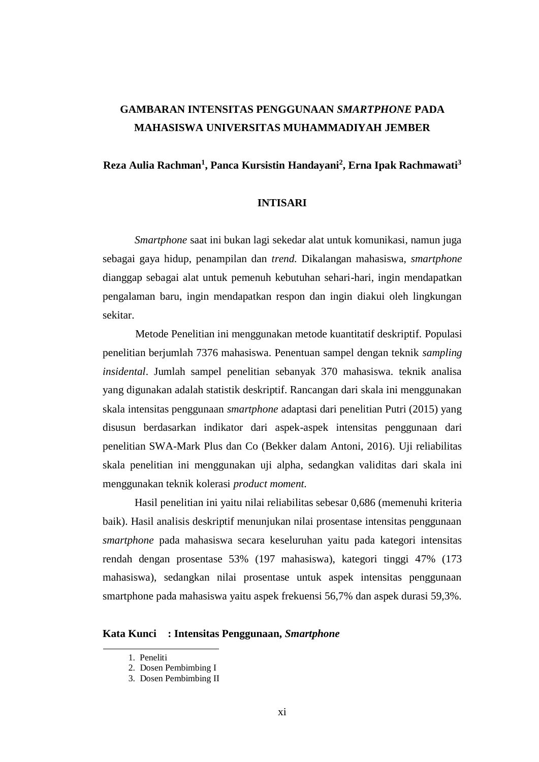# **GAMBARAN INTENSITAS PENGGUNAAN** *SMARTPHONE* **PADA MAHASISWA UNIVERSITAS MUHAMMADIYAH JEMBER**

## **Reza Aulia Rachman<sup>1</sup> , Panca Kursistin Handayani<sup>2</sup> , Erna Ipak Rachmawati<sup>3</sup>**

### **INTISARI**

*Smartphone* saat ini bukan lagi sekedar alat untuk komunikasi, namun juga sebagai gaya hidup, penampilan dan *trend.* Dikalangan mahasiswa, *smartphone* dianggap sebagai alat untuk pemenuh kebutuhan sehari-hari, ingin mendapatkan pengalaman baru, ingin mendapatkan respon dan ingin diakui oleh lingkungan sekitar.

Metode Penelitian ini menggunakan metode kuantitatif deskriptif. Populasi penelitian berjumlah 7376 mahasiswa. Penentuan sampel dengan teknik *sampling insidental*. Jumlah sampel penelitian sebanyak 370 mahasiswa. teknik analisa yang digunakan adalah statistik deskriptif. Rancangan dari skala ini menggunakan skala intensitas penggunaan *smartphone* adaptasi dari penelitian Putri (2015) yang disusun berdasarkan indikator dari aspek-aspek intensitas penggunaan dari penelitian SWA-Mark Plus dan Co (Bekker dalam Antoni, 2016). Uji reliabilitas skala penelitian ini menggunakan uji alpha, sedangkan validitas dari skala ini menggunakan teknik kolerasi *product moment.*

Hasil penelitian ini yaitu nilai reliabilitas sebesar 0,686 (memenuhi kriteria baik). Hasil analisis deskriptif menunjukan nilai prosentase intensitas penggunaan *smartphone* pada mahasiswa secara keseluruhan yaitu pada kategori intensitas rendah dengan prosentase 53% (197 mahasiswa), kategori tinggi 47% (173 mahasiswa), sedangkan nilai prosentase untuk aspek intensitas penggunaan smartphone pada mahasiswa yaitu aspek frekuensi 56,7% dan aspek durasi 59,3%.

#### **Kata Kunci : Intensitas Penggunaan,** *Smartphone*

<sup>1.</sup> Peneliti

<sup>2.</sup> Dosen Pembimbing I

<sup>3.</sup> Dosen Pembimbing II